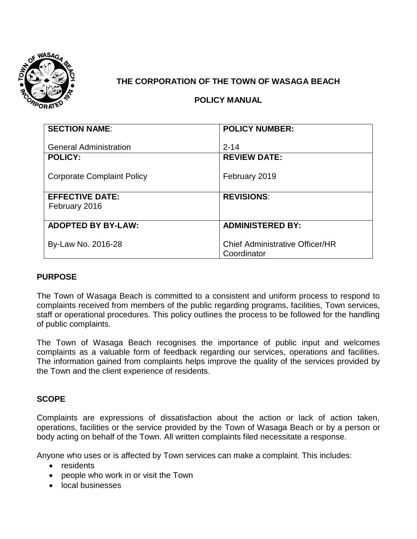

# **THE CORPORATION OF THE TOWN OF WASAGA BEACH**

# **POLICY MANUAL**

| <b>SECTION NAME:</b>              | <b>POLICY NUMBER:</b>                  |
|-----------------------------------|----------------------------------------|
|                                   |                                        |
| <b>General Administration</b>     | $2 - 14$                               |
| <b>POLICY:</b>                    | <b>REVIEW DATE:</b>                    |
|                                   |                                        |
| <b>Corporate Complaint Policy</b> | February 2019                          |
|                                   |                                        |
| <b>EFFECTIVE DATE:</b>            | <b>REVISIONS:</b>                      |
| February 2016                     |                                        |
|                                   |                                        |
| <b>ADOPTED BY BY-LAW:</b>         | <b>ADMINISTERED BY:</b>                |
|                                   |                                        |
| By-Law No. 2016-28                | <b>Chief Administrative Officer/HR</b> |
|                                   | Coordinator                            |

### **PURPOSE**

The Town of Wasaga Beach is committed to a consistent and uniform process to respond to complaints received from members of the public regarding programs, facilities, Town services, staff or operational procedures. This policy outlines the process to be followed for the handling of public complaints.

The Town of Wasaga Beach recognises the importance of public input and welcomes complaints as a valuable form of feedback regarding our services, operations and facilities. The information gained from complaints helps improve the quality of the services provided by the Town and the client experience of residents.

## **SCOPE**

Complaints are expressions of dissatisfaction about the action or lack of action taken, operations, facilities or the service provided by the Town of Wasaga Beach or by a person or body acting on behalf of the Town. All written complaints filed necessitate a response.

Anyone who uses or is affected by Town services can make a complaint. This includes:

- **•** residents
- people who work in or visit the Town
- local businesses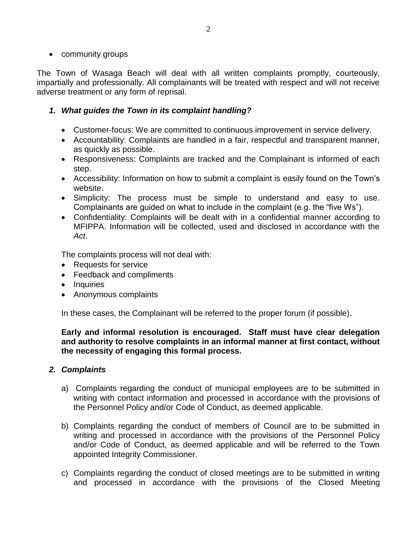• community groups

The Town of Wasaga Beach will deal with all written complaints promptly, courteously, impartially and professionally. All complainants will be treated with respect and will not receive adverse treatment or any form of reprisal.

# *1. What guides the Town in its complaint handling?*

- Customer-focus: We are committed to continuous improvement in service delivery.
- Accountability: Complaints are handled in a fair, respectful and transparent manner, as quickly as possible.
- Responsiveness: Complaints are tracked and the Complainant is informed of each step.
- Accessibility: Information on how to submit a complaint is easily found on the Town's website.
- Simplicity: The process must be simple to understand and easy to use. Complainants are guided on what to include in the complaint (e.g. the "five Ws").
- Confidentiality: Complaints will be dealt with in a confidential manner according to MFIPPA. Information will be collected, used and disclosed in accordance with the *Act*.

The complaints process will not deal with:

- Requests for service
- Feedback and compliments
- Inquiries
- Anonymous complaints

In these cases, the Complainant will be referred to the proper forum (if possible).

### **Early and informal resolution is encouraged. Staff must have clear delegation and authority to resolve complaints in an informal manner at first contact, without the necessity of engaging this formal process.**

## *2. Complaints*

- a) Complaints regarding the conduct of municipal employees are to be submitted in writing with contact information and processed in accordance with the provisions of the Personnel Policy and/or Code of Conduct, as deemed applicable.
- b) Complaints regarding the conduct of members of Council are to be submitted in writing and processed in accordance with the provisions of the Personnel Policy and/or Code of Conduct, as deemed applicable and will be referred to the Town appointed Integrity Commissioner.
- c) Complaints regarding the conduct of closed meetings are to be submitted in writing and processed in accordance with the provisions of the Closed Meeting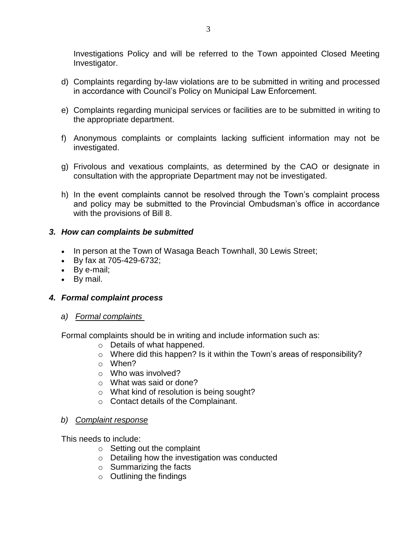Investigations Policy and will be referred to the Town appointed Closed Meeting Investigator.

- d) Complaints regarding by-law violations are to be submitted in writing and processed in accordance with Council's Policy on Municipal Law Enforcement.
- e) Complaints regarding municipal services or facilities are to be submitted in writing to the appropriate department.
- f) Anonymous complaints or complaints lacking sufficient information may not be investigated.
- g) Frivolous and vexatious complaints, as determined by the CAO or designate in consultation with the appropriate Department may not be investigated.
- h) In the event complaints cannot be resolved through the Town's complaint process and policy may be submitted to the Provincial Ombudsman's office in accordance with the provisions of Bill 8.

### *3. How can complaints be submitted*

- In person at the Town of Wasaga Beach Townhall, 30 Lewis Street;
- By fax at 705-429-6732;
- By e-mail;
- By mail.

## *4. Formal complaint process*

*a) Formal complaints* 

Formal complaints should be in writing and include information such as:

- o Details of what happened.
- o Where did this happen? Is it within the Town's areas of responsibility?
- o When?
- o Who was involved?
- o What was said or done?
- o What kind of resolution is being sought?
- o Contact details of the Complainant.

### *b) Complaint response*

This needs to include:

- o Setting out the complaint
- o Detailing how the investigation was conducted
- $\circ$  Summarizing the facts
- $\circ$  Outlining the findings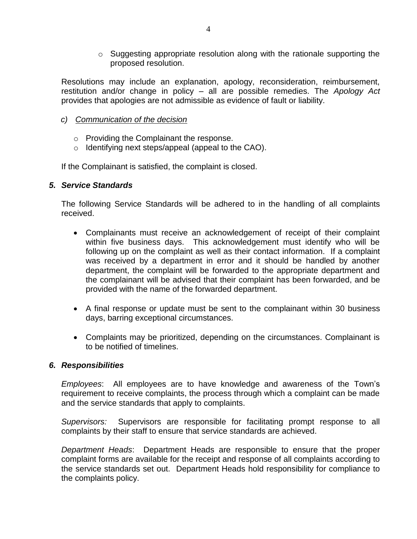o Suggesting appropriate resolution along with the rationale supporting the proposed resolution.

Resolutions may include an explanation, apology, reconsideration, reimbursement, restitution and/or change in policy – all are possible remedies. The *Apology Act* provides that apologies are not admissible as evidence of fault or liability.

- *c) Communication of the decision*
	- o Providing the Complainant the response.
	- o Identifying next steps/appeal (appeal to the CAO).

If the Complainant is satisfied, the complaint is closed.

### *5. Service Standards*

The following Service Standards will be adhered to in the handling of all complaints received.

- Complainants must receive an acknowledgement of receipt of their complaint within five business days. This acknowledgement must identify who will be following up on the complaint as well as their contact information. If a complaint was received by a department in error and it should be handled by another department, the complaint will be forwarded to the appropriate department and the complainant will be advised that their complaint has been forwarded, and be provided with the name of the forwarded department.
- A final response or update must be sent to the complainant within 30 business days, barring exceptional circumstances.
- Complaints may be prioritized, depending on the circumstances. Complainant is to be notified of timelines.

### *6. Responsibilities*

*Employees*: All employees are to have knowledge and awareness of the Town's requirement to receive complaints, the process through which a complaint can be made and the service standards that apply to complaints.

*Supervisors:* Supervisors are responsible for facilitating prompt response to all complaints by their staff to ensure that service standards are achieved.

*Department Heads*: Department Heads are responsible to ensure that the proper complaint forms are available for the receipt and response of all complaints according to the service standards set out. Department Heads hold responsibility for compliance to the complaints policy.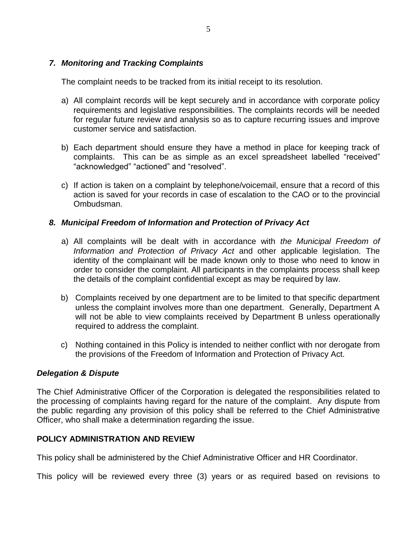### *7. Monitoring and Tracking Complaints*

The complaint needs to be tracked from its initial receipt to its resolution.

- a) All complaint records will be kept securely and in accordance with corporate policy requirements and legislative responsibilities. The complaints records will be needed for regular future review and analysis so as to capture recurring issues and improve customer service and satisfaction.
- b) Each department should ensure they have a method in place for keeping track of complaints. This can be as simple as an excel spreadsheet labelled "received" "acknowledged" "actioned" and "resolved".
- c) If action is taken on a complaint by telephone/voicemail, ensure that a record of this action is saved for your records in case of escalation to the CAO or to the provincial Ombudsman.

### *8. Municipal Freedom of Information and Protection of Privacy Act*

- a) All complaints will be dealt with in accordance with *the Municipal Freedom of Information and Protection of Privacy Act* and other applicable legislation. The identity of the complainant will be made known only to those who need to know in order to consider the complaint. All participants in the complaints process shall keep the details of the complaint confidential except as may be required by law.
- b) Complaints received by one department are to be limited to that specific department unless the complaint involves more than one department. Generally, Department A will not be able to view complaints received by Department B unless operationally required to address the complaint.
- c) Nothing contained in this Policy is intended to neither conflict with nor derogate from the provisions of the Freedom of Information and Protection of Privacy Act.

### *Delegation & Dispute*

The Chief Administrative Officer of the Corporation is delegated the responsibilities related to the processing of complaints having regard for the nature of the complaint. Any dispute from the public regarding any provision of this policy shall be referred to the Chief Administrative Officer, who shall make a determination regarding the issue.

### **POLICY ADMINISTRATION AND REVIEW**

This policy shall be administered by the Chief Administrative Officer and HR Coordinator.

This policy will be reviewed every three (3) years or as required based on revisions to